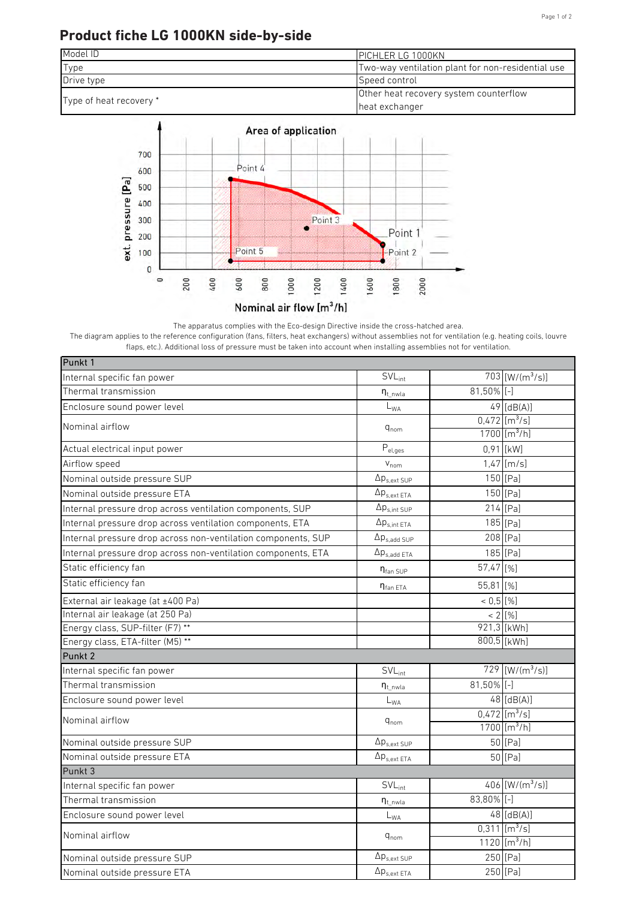## **Product fiche LG 1000KN side-by-side**





The apparatus complies with the Eco-design Directive inside the cross-hatched area.

The diagram applies to the reference configuration (fans, filters, heat exchangers) without assemblies not for ventilation (e.g. heating coils, louvre flaps, etc.). Additional loss of pressure must be taken into account when installing assemblies not for ventilation.

| Punkt 1                                                       |                                 |               |                               |
|---------------------------------------------------------------|---------------------------------|---------------|-------------------------------|
| Internal specific fan power                                   | $SVL_{int}$                     |               | $703$ [W/(m <sup>3</sup> /s)] |
| Thermal transmission                                          | $n_{t}$ <sub>nwla</sub>         | $81,50\%$ [-] |                               |
| Enclosure sound power level                                   | $L_{WA}$                        |               | $49$ [dB(A)]                  |
| Nominal airflow                                               |                                 |               | $0,472$ [m <sup>3</sup> /s]   |
|                                                               | $q_{nom}$                       |               | $1700$ [m <sup>3</sup> /h]    |
| Actual electrical input power                                 | $\mathsf{P}_{\text{el,ges}}$    |               | 0,91 [kW]                     |
| Airflow speed                                                 | $V_{nom}$                       |               | $1,47$ [m/s]                  |
| Nominal outside pressure SUP                                  | $\Delta p_{s,ext SUP}$          |               | 150 [Pa]                      |
| Nominal outside pressure ETA                                  | $\Delta p_{s,ext ETA}$          |               | 150 [Pa]                      |
| Internal pressure drop across ventilation components, SUP     | $\Delta p_{s,int\, \text{SUP}}$ |               | 214 [Pa]                      |
| Internal pressure drop across ventilation components, ETA     | $\Delta p_{s,int ETA}$          |               | 185 [Pa]                      |
| Internal pressure drop across non-ventilation components, SUP | $\Delta p_{s,add~SUP}$          |               | 208 [Pa]                      |
| Internal pressure drop across non-ventilation components, ETA | $\Delta p_{s,add ETA}$          |               | 185 [Pa]                      |
| Static efficiency fan                                         | $\eta_{\text{fan SUP}}$         | 57,47 [%]     |                               |
| Static efficiency fan                                         | $\eta_{\text{fan ETA}}$         | 55,81 [%]     |                               |
| External air leakage (at ±400 Pa)                             |                                 | $< 0.5$ [%]   |                               |
| Internal air leakage (at 250 Pa)                              |                                 |               | $< 2$ [%]                     |
| Energy class, SUP-filter (F7) **                              |                                 |               | 921,3 [kWh]                   |
| Energy class, ETA-filter (M5) **                              |                                 |               | 800,5 [kWh]                   |
| Punkt 2                                                       |                                 |               |                               |
| Internal specific fan power                                   | $SVL_{int}$                     |               | $729$ [W/(m <sup>3</sup> /s)] |
| Thermal transmission                                          | $n_{t}$ nwla                    | 81,50% [-]    |                               |
| Enclosure sound power level                                   | $L_{WA}$                        |               | $48$ [dB(A)]                  |
| Nominal airflow                                               | $\mathsf{q}_{\mathsf{nom}}$     |               | $0,472$ [m <sup>3</sup> /s]   |
|                                                               |                                 |               | 1700 [ $m^3/h$ ]              |
| Nominal outside pressure SUP                                  | $\Delta p_{s,ext SUP}$          |               | 50 [Pa]                       |
| Nominal outside pressure ETA                                  | $\Delta p_{s,ext\ ETA}$         |               | 50 [Pa]                       |
| Punkt 3                                                       |                                 |               |                               |
| Internal specific fan power                                   | $SVL_{int}$                     |               | $406$ [W/(m <sup>3</sup> /s)] |
| Thermal transmission                                          | $\eta_{t\_nwla}$                | 83,80% [-]    |                               |
| Enclosure sound power level                                   | $L_{WA}$                        |               | $48$ [dB(A)]                  |
| Nominal airflow                                               | $q_{nom}$                       |               | $0,311$ [m <sup>3</sup> /s]   |
|                                                               |                                 |               | 1120 [ $m^3/h$ ]              |
| Nominal outside pressure SUP                                  | $\Delta p_{s,ext\,SUP}$         |               | 250 [Pa]                      |
| Nominal outside pressure ETA                                  | $\Delta p_{s,ext\ ETA}$         |               | 250 [Pa]                      |